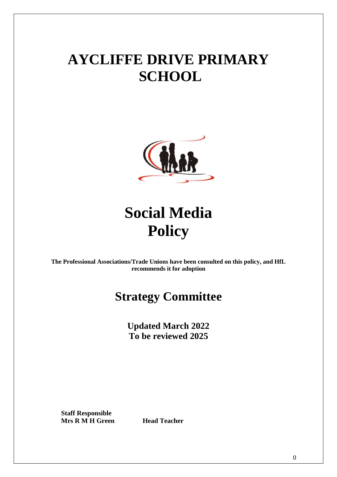## **AYCLIFFE DRIVE PRIMARY SCHOOL**



# **Social Media Policy**

**The Professional Associations/Trade Unions have been consulted on this policy, and HfL recommends it for adoption**

### **Strategy Committee**

**Updated March 2022 To be reviewed 2025**

**Staff Responsible Mrs R M H Green Head Teacher**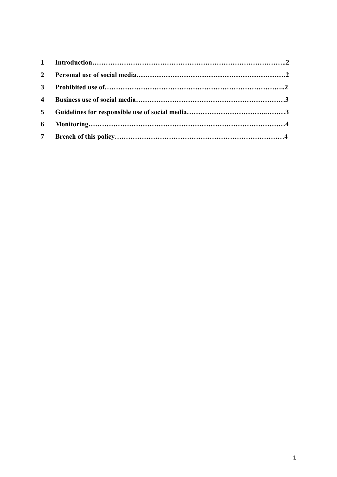| 6 |  |
|---|--|
|   |  |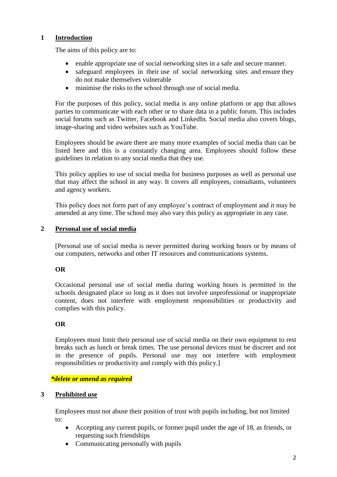#### **1 Introduction**

The aims of this policy are to:

- enable appropriate use of social networking sites in a safe and secure manner.
- safeguard employees in their use of social networking sites and ensure they do not make themselves vulnerable
- minimise the risks to the school through use of social media.

For the purposes of this policy, social media is any online platform or app that allows parties to communicate with each other or to share data in a public forum. This includes social forums such as Twitter, Facebook and LinkedIn. Social media also covers blogs, image-sharing and video websites such as YouTube.

Employees should be aware there are many more examples of social media than can be listed here and this is a constantly changing area. Employees should follow these guidelines in relation to any social media that they use.

This policy applies to use of social media for business purposes as well as personal use that may affect the school in any way. It covers all employees, consultants, volunteers and agency workers.

This policy does not form part of any employee's contract of employment and it may be amended at any time. The school may also vary this policy as appropriate in any case.

#### **2 Personal use of social media**

[Personal use of social media is never permitted during working hours or by means of our computers, networks and other IT resources and communications systems.

#### **OR**

Occasional personal use of social media during working hours is permitted in the schools designated place so long as it does not involve unprofessional or inappropriate content, does not interfere with employment responsibilities or productivity and complies with this policy.

#### **OR**

Employees must limit their personal use of social media on their own equipment to rest breaks such as lunch or break times. The use personal devices must be discreet and not in the presence of pupils. Personal use may not interfere with employment responsibilities or productivity and comply with this policy.]

#### *\*delete or amend as required*

#### **3 Prohibited use**

Employees must not abuse their position of trust with pupils including, but not limited to:

- Accepting any current pupils, or former pupil under the age of 18, as friends, or requesting such friendships
- Communicating personally with pupils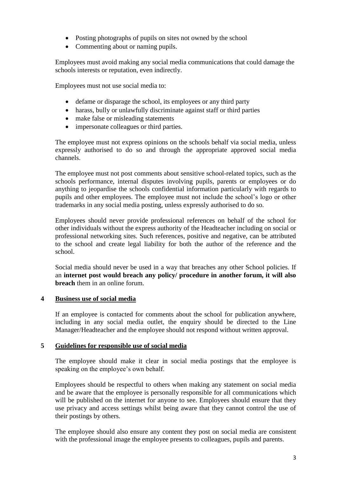- Posting photographs of pupils on sites not owned by the school
- Commenting about or naming pupils.

Employees must avoid making any social media communications that could damage the schools interests or reputation, even indirectly.

Employees must not use social media to:

- defame or disparage the school, its employees or any third party
- harass, bully or unlawfully discriminate against staff or third parties
- make false or misleading statements
- impersonate colleagues or third parties.

The employee must not express opinions on the schools behalf via social media, unless expressly authorised to do so and through the appropriate approved social media channels.

The employee must not post comments about sensitive school-related topics, such as the schools performance, internal disputes involving pupils, parents or employees or do anything to jeopardise the schools confidential information particularly with regards to pupils and other employees. The employee must not include the school's logo or other trademarks in any social media posting, unless expressly authorised to do so.

Employees should never provide professional references on behalf of the school for other individuals without the express authority of the Headteacher including on social or professional networking sites. Such references, positive and negative, can be attributed to the school and create legal liability for both the author of the reference and the school.

Social media should never be used in a way that breaches any other School policies. If an **internet post would breach any policy/ procedure in another forum, it will also breach** them in an online forum.

#### **4 Business use of social media**

If an employee is contacted for comments about the school for publication anywhere, including in any social media outlet, the enquiry should be directed to the Line Manager/Headteacher and the employee should not respond without written approval.

#### **5 Guidelines for responsible use of social media**

The employee should make it clear in social media postings that the employee is speaking on the employee's own behalf.

Employees should be respectful to others when making any statement on social media and be aware that the employee is personally responsible for all communications which will be published on the internet for anyone to see. Employees should ensure that they use privacy and access settings whilst being aware that they cannot control the use of their postings by others.

The employee should also ensure any content they post on social media are consistent with the professional image the employee presents to colleagues, pupils and parents.